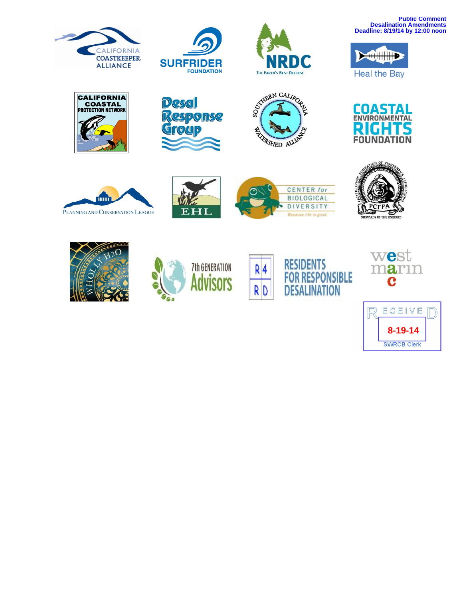





**Public Comment Desalination Amendments Deadline: 8/19/14 by 12:00 noon**



**COASTAL** 

ENVIRONMENTAL

Ŀà **FOUNDATION** 

D,























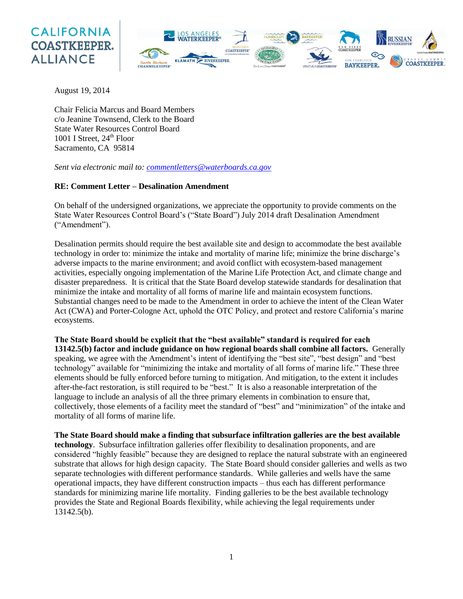## **CALIFORNIA COASTKEEPER. ALLIANCE**



August 19, 2014

Chair Felicia Marcus and Board Members c/o Jeanine Townsend, Clerk to the Board State Water Resources Control Board 1001 I Street,  $24<sup>th</sup>$  Floor Sacramento, CA 95814

*Sent via electronic mail to: [commentletters@waterboards.ca.gov](mailto:commentletters@waterboards.ca.gov)*

## **RE: Comment Letter – Desalination Amendment**

On behalf of the undersigned organizations, we appreciate the opportunity to provide comments on the State Water Resources Control Board's ("State Board") July 2014 draft Desalination Amendment ("Amendment").

Desalination permits should require the best available site and design to accommodate the best available technology in order to: minimize the intake and mortality of marine life; minimize the brine discharge's adverse impacts to the marine environment; and avoid conflict with ecosystem-based management activities, especially ongoing implementation of the Marine Life Protection Act, and climate change and disaster preparedness. It is critical that the State Board develop statewide standards for desalination that minimize the intake and mortality of all forms of marine life and maintain ecosystem functions. Substantial changes need to be made to the Amendment in order to achieve the intent of the Clean Water Act (CWA) and Porter-Cologne Act, uphold the OTC Policy, and protect and restore California's marine ecosystems.

**The State Board should be explicit that the "best available" standard is required for each 13142.5(b) factor and include guidance on how regional boards shall combine all factors.** Generally speaking, we agree with the Amendment's intent of identifying the "best site", "best design" and "best technology" available for "minimizing the intake and mortality of all forms of marine life." These three elements should be fully enforced before turning to mitigation. And mitigation, to the extent it includes after-the-fact restoration, is still required to be "best." It is also a reasonable interpretation of the language to include an analysis of all the three primary elements in combination to ensure that, collectively, those elements of a facility meet the standard of "best" and "minimization" of the intake and mortality of all forms of marine life.

**The State Board should make a finding that subsurface infiltration galleries are the best available technology**. Subsurface infiltration galleries offer flexibility to desalination proponents, and are considered "highly feasible" because they are designed to replace the natural substrate with an engineered substrate that allows for high design capacity. The State Board should consider galleries and wells as two separate technologies with different performance standards. While galleries and wells have the same operational impacts, they have different construction impacts – thus each has different performance standards for minimizing marine life mortality. Finding galleries to be the best available technology provides the State and Regional Boards flexibility, while achieving the legal requirements under 13142.5(b).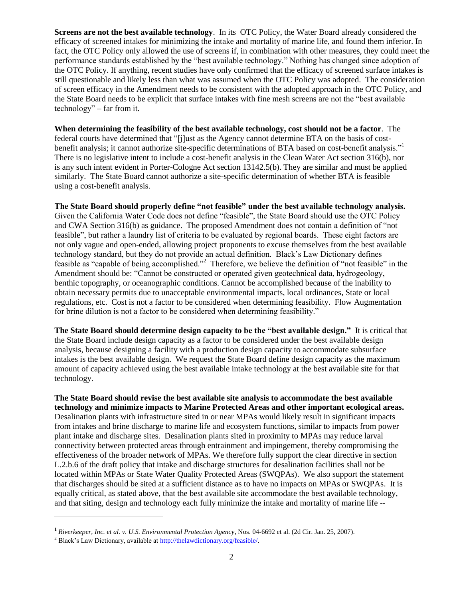**Screens are not the best available technology**. In its OTC Policy, the Water Board already considered the efficacy of screened intakes for minimizing the intake and mortality of marine life, and found them inferior. In fact, the OTC Policy only allowed the use of screens if, in combination with other measures, they could meet the performance standards established by the "best available technology." Nothing has changed since adoption of the OTC Policy. If anything, recent studies have only confirmed that the efficacy of screened surface intakes is still questionable and likely less than what was assumed when the OTC Policy was adopted. The consideration of screen efficacy in the Amendment needs to be consistent with the adopted approach in the OTC Policy, and the State Board needs to be explicit that surface intakes with fine mesh screens are not the "best available technology" – far from it.

**When determining the feasibility of the best available technology, cost should not be a factor**. The federal courts have determined that "[j]ust as the Agency cannot determine BTA on the basis of costbenefit analysis; it cannot authorize site-specific determinations of BTA based on cost-benefit analysis."<sup>1</sup> There is no legislative intent to include a cost-benefit analysis in the Clean Water Act section 316(b), nor is any such intent evident in Porter-Cologne Act section 13142.5(b). They are similar and must be applied similarly. The State Board cannot authorize a site-specific determination of whether BTA is feasible using a cost-benefit analysis.

**The State Board should properly define "not feasible" under the best available technology analysis.** Given the California Water Code does not define "feasible", the State Board should use the OTC Policy and CWA Section 316(b) as guidance. The proposed Amendment does not contain a definition of "not feasible", but rather a laundry list of criteria to be evaluated by regional boards. These eight factors are not only vague and open-ended, allowing project proponents to excuse themselves from the best available technology standard, but they do not provide an actual definition. Black's Law Dictionary defines feasible as "capable of being accomplished."<sup>2</sup> Therefore, we believe the definition of "not feasible" in the Amendment should be: "Cannot be constructed or operated given geotechnical data, hydrogeology, benthic topography, or oceanographic conditions. Cannot be accomplished because of the inability to obtain necessary permits due to unacceptable environmental impacts, local ordinances, State or local regulations, etc. Cost is not a factor to be considered when determining feasibility. Flow Augmentation for brine dilution is not a factor to be considered when determining feasibility."

**The State Board should determine design capacity to be the "best available design."** It is critical that the State Board include design capacity as a factor to be considered under the best available design analysis, because designing a facility with a production design capacity to accommodate subsurface intakes is the best available design. We request the State Board define design capacity as the maximum amount of capacity achieved using the best available intake technology at the best available site for that technology.

**The State Board should revise the best available site analysis to accommodate the best available technology and minimize impacts to Marine Protected Areas and other important ecological areas.** Desalination plants with infrastructure sited in or near MPAs would likely result in significant impacts from intakes and brine discharge to marine life and ecosystem functions, similar to impacts from power plant intake and discharge sites. Desalination plants sited in proximity to MPAs may reduce larval connectivity between protected areas through entrainment and impingement, thereby compromising the effectiveness of the broader network of MPAs. We therefore fully support the clear directive in section L.2.b.6 of the draft policy that intake and discharge structures for desalination facilities shall not be located within MPAs or State Water Quality Protected Areas (SWQPAs). We also support the statement that discharges should be sited at a sufficient distance as to have no impacts on MPAs or SWQPAs. It is equally critical, as stated above, that the best available site accommodate the best available technology, and that siting, design and technology each fully minimize the intake and mortality of marine life --

 $\overline{a}$ 

**<sup>1</sup>** *[Riverkeeper, Inc. et al. v. U.S. Environmental Protection Agency](http://content.waterkeeper.org/docs/OTCOpinion.pdf)*, Nos. 04-6692 et al. (2d Cir. Jan. 25, 2007).

<sup>2</sup> Black's Law Dictionary, available a[t http://thelawdictionary.org/feasible/.](http://thelawdictionary.org/feasible/)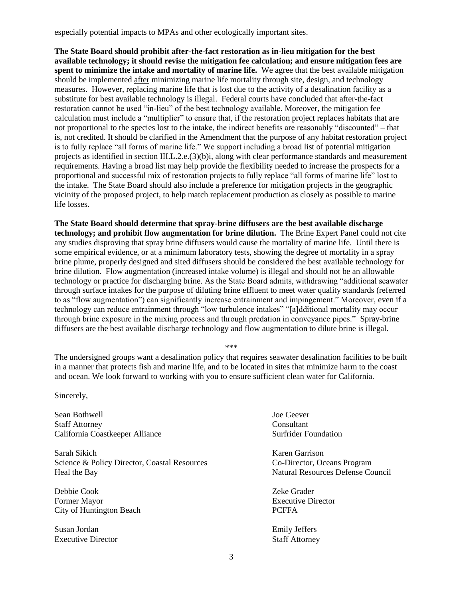especially potential impacts to MPAs and other ecologically important sites.

**The State Board should prohibit after-the-fact restoration as in-lieu mitigation for the best available technology; it should revise the mitigation fee calculation; and ensure mitigation fees are spent to minimize the intake and mortality of marine life.** We agree that the best available mitigation should be implemented after minimizing marine life mortality through site, design, and technology measures. However, replacing marine life that is lost due to the activity of a desalination facility as a substitute for best available technology is illegal. Federal courts have concluded that after-the-fact restoration cannot be used "in-lieu" of the best technology available. Moreover, the mitigation fee calculation must include a "multiplier" to ensure that, if the restoration project replaces habitats that are not proportional to the species lost to the intake, the indirect benefits are reasonably "discounted" – that is, not credited. It should be clarified in the Amendment that the purpose of any habitat restoration project is to fully replace "all forms of marine life." We support including a broad list of potential mitigation projects as identified in section III.L.2.e.(3)(b)i, along with clear performance standards and measurement requirements. Having a broad list may help provide the flexibility needed to increase the prospects for a proportional and successful mix of restoration projects to fully replace "all forms of marine life" lost to the intake. The State Board should also include a preference for mitigation projects in the geographic vicinity of the proposed project, to help match replacement production as closely as possible to marine life losses.

**The State Board should determine that spray-brine diffusers are the best available discharge technology; and prohibit flow augmentation for brine dilution.** The Brine Expert Panel could not cite any studies disproving that spray brine diffusers would cause the mortality of marine life. Until there is some empirical evidence, or at a minimum laboratory tests, showing the degree of mortality in a spray brine plume, properly designed and sited diffusers should be considered the best available technology for brine dilution. Flow augmentation (increased intake volume) is illegal and should not be an allowable technology or practice for discharging brine. As the State Board admits, withdrawing "additional seawater through surface intakes for the purpose of diluting brine effluent to meet water quality standards (referred to as "flow augmentation") can significantly increase entrainment and impingement." Moreover, even if a technology can reduce entrainment through "low turbulence intakes" "[a]dditional mortality may occur through brine exposure in the mixing process and through predation in conveyance pipes." Spray-brine diffusers are the best available discharge technology and flow augmentation to dilute brine is illegal.

\*\*\*

The undersigned groups want a desalination policy that requires seawater desalination facilities to be built in a manner that protects fish and marine life, and to be located in sites that minimize harm to the coast and ocean. We look forward to working with you to ensure sufficient clean water for California.

Sincerely,

Sean Bothwell **Search Search Search Access** Joe Geever Staff Attorney Consultant California Coastkeeper Alliance Surfrider Foundation

Sarah Sikich Karen Garrison Science & Policy Director, Coastal Resources Co-Director, Oceans Program Heal the Bay **Natural Resources Defense Council** 

Debbie Cook Zeke Grader Former Mayor Executive Director City of Huntington Beach PCFFA

Susan Jordan Emily Jeffers Executive Director Staff Attorney